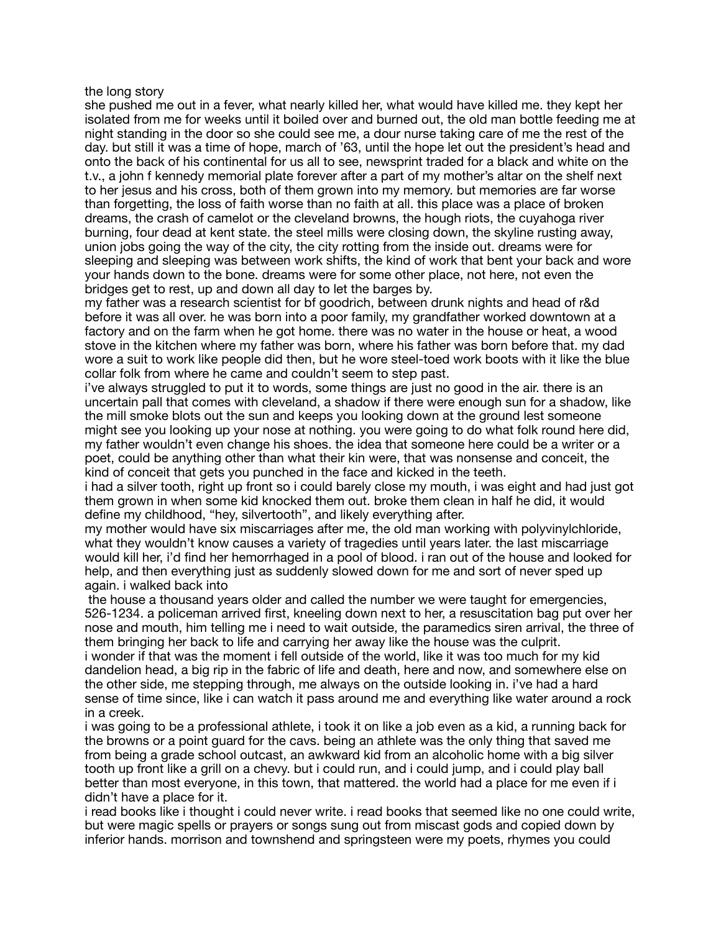the long story

she pushed me out in a fever, what nearly killed her, what would have killed me. they kept her isolated from me for weeks until it boiled over and burned out, the old man bottle feeding me at night standing in the door so she could see me, a dour nurse taking care of me the rest of the day. but still it was a time of hope, march of '63, until the hope let out the president's head and onto the back of his continental for us all to see, newsprint traded for a black and white on the t.v., a john f kennedy memorial plate forever after a part of my mother's altar on the shelf next to her jesus and his cross, both of them grown into my memory. but memories are far worse than forgetting, the loss of faith worse than no faith at all. this place was a place of broken dreams, the crash of camelot or the cleveland browns, the hough riots, the cuyahoga river burning, four dead at kent state. the steel mills were closing down, the skyline rusting away, union jobs going the way of the city, the city rotting from the inside out. dreams were for sleeping and sleeping was between work shifts, the kind of work that bent your back and wore your hands down to the bone. dreams were for some other place, not here, not even the bridges get to rest, up and down all day to let the barges by.

my father was a research scientist for bf goodrich, between drunk nights and head of r&d before it was all over. he was born into a poor family, my grandfather worked downtown at a factory and on the farm when he got home. there was no water in the house or heat, a wood stove in the kitchen where my father was born, where his father was born before that. my dad wore a suit to work like people did then, but he wore steel-toed work boots with it like the blue collar folk from where he came and couldn't seem to step past.

i've always struggled to put it to words, some things are just no good in the air. there is an uncertain pall that comes with cleveland, a shadow if there were enough sun for a shadow, like the mill smoke blots out the sun and keeps you looking down at the ground lest someone might see you looking up your nose at nothing. you were going to do what folk round here did, my father wouldn't even change his shoes. the idea that someone here could be a writer or a poet, could be anything other than what their kin were, that was nonsense and conceit, the kind of conceit that gets you punched in the face and kicked in the teeth.

i had a silver tooth, right up front so i could barely close my mouth, i was eight and had just got them grown in when some kid knocked them out. broke them clean in half he did, it would define my childhood, "hey, silvertooth", and likely everything after.

my mother would have six miscarriages after me, the old man working with polyvinylchloride, what they wouldn't know causes a variety of tragedies until years later. the last miscarriage would kill her, i'd find her hemorrhaged in a pool of blood. i ran out of the house and looked for help, and then everything just as suddenly slowed down for me and sort of never sped up again. i walked back into

 the house a thousand years older and called the number we were taught for emergencies, 526-1234. a policeman arrived first, kneeling down next to her, a resuscitation bag put over her nose and mouth, him telling me i need to wait outside, the paramedics siren arrival, the three of them bringing her back to life and carrying her away like the house was the culprit.

i wonder if that was the moment i fell outside of the world, like it was too much for my kid dandelion head, a big rip in the fabric of life and death, here and now, and somewhere else on the other side, me stepping through, me always on the outside looking in. i've had a hard sense of time since, like i can watch it pass around me and everything like water around a rock in a creek.

i was going to be a professional athlete, i took it on like a job even as a kid, a running back for the browns or a point guard for the cavs. being an athlete was the only thing that saved me from being a grade school outcast, an awkward kid from an alcoholic home with a big silver tooth up front like a grill on a chevy. but i could run, and i could jump, and i could play ball better than most everyone, in this town, that mattered. the world had a place for me even if i didn't have a place for it.

i read books like i thought i could never write. i read books that seemed like no one could write, but were magic spells or prayers or songs sung out from miscast gods and copied down by inferior hands. morrison and townshend and springsteen were my poets, rhymes you could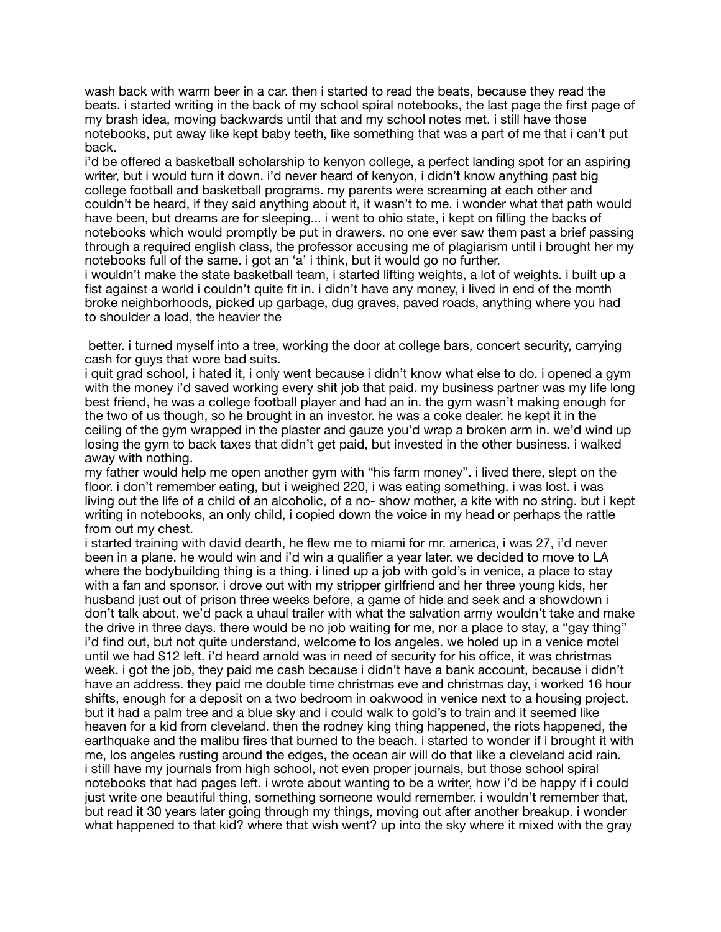wash back with warm beer in a car. then i started to read the beats, because they read the beats. i started writing in the back of my school spiral notebooks, the last page the first page of my brash idea, moving backwards until that and my school notes met. i still have those notebooks, put away like kept baby teeth, like something that was a part of me that i can't put back.

i'd be offered a basketball scholarship to kenyon college, a perfect landing spot for an aspiring writer, but i would turn it down. i'd never heard of kenyon, i didn't know anything past big college football and basketball programs. my parents were screaming at each other and couldn't be heard, if they said anything about it, it wasn't to me. i wonder what that path would have been, but dreams are for sleeping... i went to ohio state, i kept on filling the backs of notebooks which would promptly be put in drawers. no one ever saw them past a brief passing through a required english class, the professor accusing me of plagiarism until i brought her my notebooks full of the same. i got an 'a' i think, but it would go no further.

i wouldn't make the state basketball team, i started lifting weights, a lot of weights. i built up a fist against a world i couldn't quite fit in. i didn't have any money, i lived in end of the month broke neighborhoods, picked up garbage, dug graves, paved roads, anything where you had to shoulder a load, the heavier the

 better. i turned myself into a tree, working the door at college bars, concert security, carrying cash for guys that wore bad suits.

i quit grad school, i hated it, i only went because i didn't know what else to do. i opened a gym with the money i'd saved working every shit job that paid. my business partner was my life long best friend, he was a college football player and had an in. the gym wasn't making enough for the two of us though, so he brought in an investor. he was a coke dealer. he kept it in the ceiling of the gym wrapped in the plaster and gauze you'd wrap a broken arm in. we'd wind up losing the gym to back taxes that didn't get paid, but invested in the other business. i walked away with nothing.

my father would help me open another gym with "his farm money". i lived there, slept on the floor. i don't remember eating, but i weighed 220, i was eating something. i was lost. i was living out the life of a child of an alcoholic, of a no- show mother, a kite with no string. but i kept writing in notebooks, an only child, i copied down the voice in my head or perhaps the rattle from out my chest.

i started training with david dearth, he flew me to miami for mr. america, i was 27, i'd never been in a plane. he would win and i'd win a qualifier a year later. we decided to move to LA where the bodybuilding thing is a thing. i lined up a job with gold's in venice, a place to stay with a fan and sponsor. i drove out with my stripper girlfriend and her three young kids, her husband just out of prison three weeks before, a game of hide and seek and a showdown i don't talk about. we'd pack a uhaul trailer with what the salvation army wouldn't take and make the drive in three days. there would be no job waiting for me, nor a place to stay, a "gay thing" i'd find out, but not quite understand, welcome to los angeles. we holed up in a venice motel until we had \$12 left. i'd heard arnold was in need of security for his office, it was christmas week. i got the job, they paid me cash because i didn't have a bank account, because i didn't have an address. they paid me double time christmas eve and christmas day, i worked 16 hour shifts, enough for a deposit on a two bedroom in oakwood in venice next to a housing project. but it had a palm tree and a blue sky and i could walk to gold's to train and it seemed like heaven for a kid from cleveland. then the rodney king thing happened, the riots happened, the earthquake and the malibu fires that burned to the beach. i started to wonder if i brought it with me, los angeles rusting around the edges, the ocean air will do that like a cleveland acid rain. i still have my journals from high school, not even proper journals, but those school spiral notebooks that had pages left. i wrote about wanting to be a writer, how i'd be happy if i could just write one beautiful thing, something someone would remember. i wouldn't remember that, but read it 30 years later going through my things, moving out after another breakup. i wonder what happened to that kid? where that wish went? up into the sky where it mixed with the gray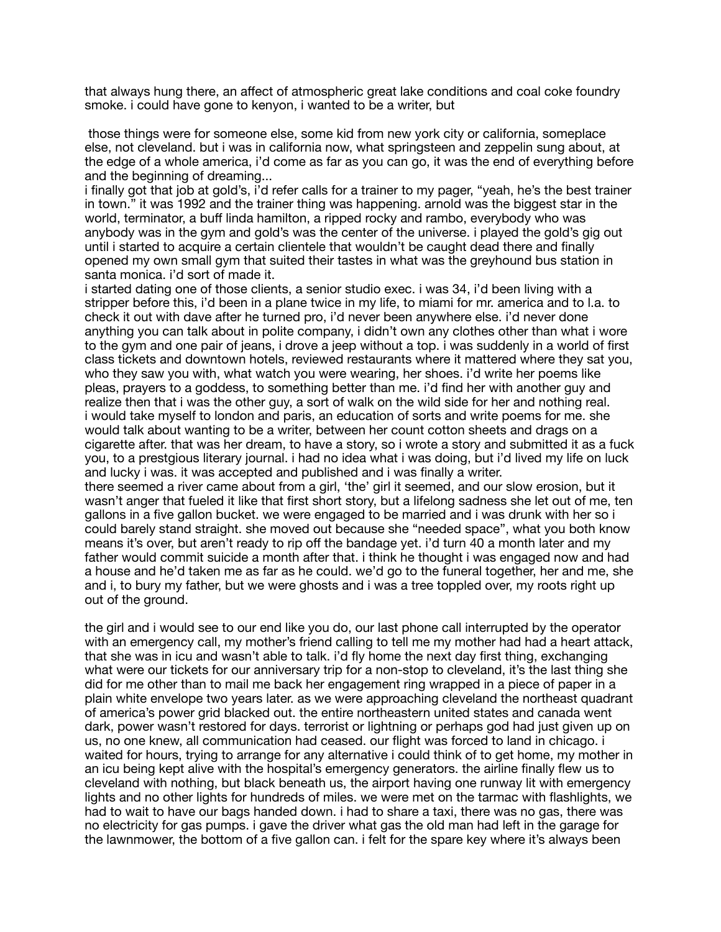that always hung there, an affect of atmospheric great lake conditions and coal coke foundry smoke. i could have gone to kenyon, i wanted to be a writer, but

 those things were for someone else, some kid from new york city or california, someplace else, not cleveland. but i was in california now, what springsteen and zeppelin sung about, at the edge of a whole america, i'd come as far as you can go, it was the end of everything before and the beginning of dreaming...

i finally got that job at gold's, i'd refer calls for a trainer to my pager, "yeah, he's the best trainer in town." it was 1992 and the trainer thing was happening. arnold was the biggest star in the world, terminator, a buff linda hamilton, a ripped rocky and rambo, everybody who was anybody was in the gym and gold's was the center of the universe. i played the gold's gig out until i started to acquire a certain clientele that wouldn't be caught dead there and finally opened my own small gym that suited their tastes in what was the greyhound bus station in santa monica. i'd sort of made it.

i started dating one of those clients, a senior studio exec. i was 34, i'd been living with a stripper before this, i'd been in a plane twice in my life, to miami for mr. america and to l.a. to check it out with dave after he turned pro, i'd never been anywhere else. i'd never done anything you can talk about in polite company, i didn't own any clothes other than what i wore to the gym and one pair of jeans, i drove a jeep without a top. i was suddenly in a world of first class tickets and downtown hotels, reviewed restaurants where it mattered where they sat you, who they saw you with, what watch you were wearing, her shoes. i'd write her poems like pleas, prayers to a goddess, to something better than me. i'd find her with another guy and realize then that i was the other guy, a sort of walk on the wild side for her and nothing real. i would take myself to london and paris, an education of sorts and write poems for me. she would talk about wanting to be a writer, between her count cotton sheets and drags on a cigarette after. that was her dream, to have a story, so i wrote a story and submitted it as a fuck you, to a prestgious literary journal. i had no idea what i was doing, but i'd lived my life on luck and lucky i was. it was accepted and published and i was finally a writer.

there seemed a river came about from a girl, 'the' girl it seemed, and our slow erosion, but it wasn't anger that fueled it like that first short story, but a lifelong sadness she let out of me, ten gallons in a five gallon bucket. we were engaged to be married and i was drunk with her so i could barely stand straight. she moved out because she "needed space", what you both know means it's over, but aren't ready to rip off the bandage yet. i'd turn 40 a month later and my father would commit suicide a month after that. i think he thought i was engaged now and had a house and he'd taken me as far as he could. we'd go to the funeral together, her and me, she and i, to bury my father, but we were ghosts and i was a tree toppled over, my roots right up out of the ground.

the girl and i would see to our end like you do, our last phone call interrupted by the operator with an emergency call, my mother's friend calling to tell me my mother had had a heart attack, that she was in icu and wasn't able to talk. i'd fly home the next day first thing, exchanging what were our tickets for our anniversary trip for a non-stop to cleveland, it's the last thing she did for me other than to mail me back her engagement ring wrapped in a piece of paper in a plain white envelope two years later. as we were approaching cleveland the northeast quadrant of america's power grid blacked out. the entire northeastern united states and canada went dark, power wasn't restored for days. terrorist or lightning or perhaps god had just given up on us, no one knew, all communication had ceased. our flight was forced to land in chicago. i waited for hours, trying to arrange for any alternative i could think of to get home, my mother in an icu being kept alive with the hospital's emergency generators. the airline finally flew us to cleveland with nothing, but black beneath us, the airport having one runway lit with emergency lights and no other lights for hundreds of miles. we were met on the tarmac with flashlights, we had to wait to have our bags handed down. i had to share a taxi, there was no gas, there was no electricity for gas pumps. i gave the driver what gas the old man had left in the garage for the lawnmower, the bottom of a five gallon can. i felt for the spare key where it's always been